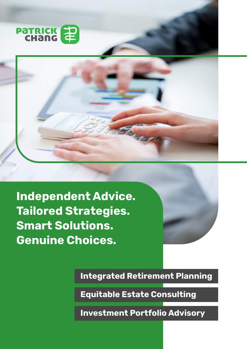



**Independent Advice. Tailored Strategies. Smart Solutions. Genuine Choices.**



**Integrated Retirement Planning**

**Equitable Estate Consulting**

**Investment Portfolio Advisory**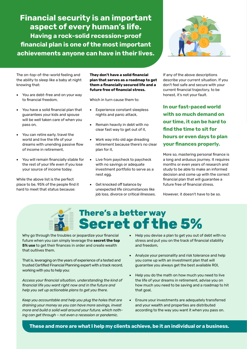### **Financial security is an important aspect of every human's life. Having a rock-solid recession-proof financial plan is one of the most important achievements anyone can have in their lives.**



The on-top-of-the-world feeling and the ability to sleep like a baby at night knowing that:

- You are debt-free and on your way to financial freedom,
- You have a solid financial plan that guarantees your kids and spouse will be well taken care of when you pass on,
- You can retire early, travel the world and live the life of your dreams with unending passive flow of income in retirement,
- You will remain financially stable for the rest of your life even if you lose your source of income today.

While the above list is the perfect place to be, 95% of the people find it hard to meet that status because:

**They don't have a solid financial plan that serves as a roadmap to get them a financially secured life and a future free of financial stress.**

Which in turn cause them to:

- � Experience constant sleepless nights and panic attack,
- � Remain heavily in debt with no clear fast way to get out of it,
- Work way into old age dreading retirement because there's no clear plan for it,
- Live from paycheck to paycheck with no savings or adequate investment portfolio to serve as a nest egg,
- Get knocked off balance by unexpected life circumstances like job loss, divorce or critical illnesses.

If any of the above descriptions describe your current situation. If you don't feel safe and secure with your current financial trajectory, to be honest, it's not your fault.

**In our fast-paced world with so much demand on our time, it can be hard to find the time to sit for hours or even days to plan your finances properly.**

More so, mastering personal finance is a long and arduous journey. It requires months or even years of research and study to be able to make an informed decision and come up with the correct financial plan that will guarantee a future free of financial stress.

However, it doesn't have to be so.

# **There's a better way Secret of the 5%**

Why go through the troubles or jeopardize your financial future when you can simply leverage the **secret the top 5% use** to get their finances in order and create wealth that outlives them.

That is, leveraging on the years of experience of a tested and trusted Certified Financial Planning expert with a track record, working with you to help you:

*Access your financial situation, understanding the kind of financial life you want right now and in the future and help you set up actionable plans to get you there.*

*Keep you accountable and help you plug the holes that are draining your money so you can have more savings, invest more and build a solid wall around your future, which nothing can get through – not even a recession or pandemic.*

- � Help you devise a plan to get you out of debt with no stress and put you on the track of financial stability and freedom,
- � Analyze your personality and risk tolerance and help you come up with an investment plan that will guarantee you always get the best available ROI,
- � Help you do the math on how much you need to live the life of your dreams in retirement, advise you on how much you need to be saving and a roadmap to hit that goal,
- � Ensure your investments are adequately transferred and your wealth and properties are distributed according to the way you want it when you pass on.

**These and more are what I help my clients achieve, be it an individual or a business.**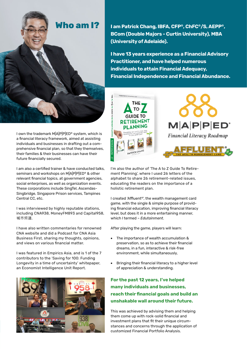

I own the trademark M|A|P|P|ED® system, which is a financial literacy framework, aimed at assisting individuals and businesses in drafting out a comprehensive financial plan, so that they themselves, their families & their businesses can have their future financially secured.

I am also a certified trainer & have conducted talks, seminars and workshops on M|A|P|P|ED® & other relevant financial topics, at government agencies, social enterprises, as well as organization events. These corporations include SingTel, Ascendas-Singbridge, Singapore Prison services, Tampines Central CC, etc.

I was interviewed by highly reputable stations, including CNA938, MoneyFM893 and Capital958, 城市频道.

I have also written commentaries for renowned CNA website and did a Podcast for CNA Asia Business First, sharing my thoughts, opinions, and views on various financial matter.

I was featured in Empirics Asia, and is 1 of the 7 contributors to the 'Saving for 100: Funding Longevity in a time of uncertainty' whitepaper, an Economist Intelligence Unit Report.



**I am Patrick Chang, IBFA, CFP®, ChFC®/S, AEPP®, BCom (Double Majors - Curtin University), MBA (University of Adelaide).** 

**I have 13 years experience as a Financial Advisory Practitioner, and have helped numerous individuals to attain Financial Adequacy, Financial Independence and Financial Abundance.**



I'm also the author of 'The A to Z Guide To Retirement Planning', where I used 26 letters of the alphabet to share 26 retirement-related issues, educating the readers on the importance of a holistic retirement plan.

I created 'Affluent®', the wealth management card game, with the single & simple purpose of providing financial education, improving financial literacy level, but does it in a more entertaining manner, which I termed – *Edutainment*.

After playing the game, players will learn:

- � The importance of wealth accumulation & preservation, so as to achieve their financial dreams, in a fun, interactive & risk-free environment, while simultaneously,
- Bringing their financial literacy to a higher level of appreciation & understanding.

### **For the past 12 years, I've helped many individuals and businesses, reach their financial goals and build an unshakable wall around their future.**

This was achieved by advising them and helping them come up with rock-solid financial and investment plans that fit their unique circumstances and concerns through the application of customized Financial Portfolio Analysis.